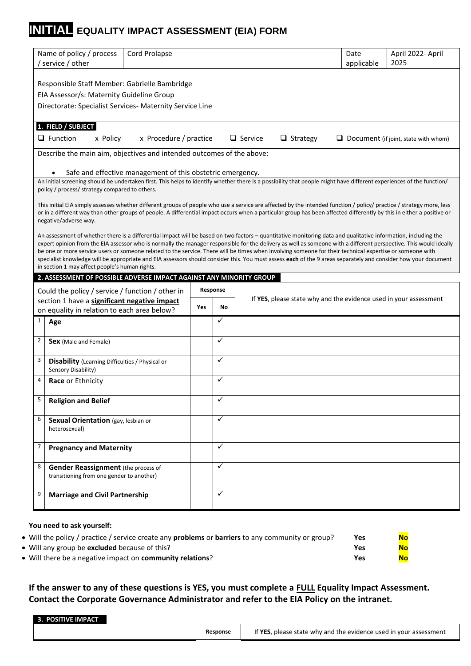# **INITIAL EQUALITY IMPACT ASSESSMENT (EIA) FORM**

|                | Name of policy / process<br><b>Cord Prolapse</b><br>/ service / other                                                                                                                                                                                                                                                                                                                                                                                                                                                                                                                                                                                                                                               |     |              |                                                                   | Date<br>applicable | April 2022- April<br>2025                   |
|----------------|---------------------------------------------------------------------------------------------------------------------------------------------------------------------------------------------------------------------------------------------------------------------------------------------------------------------------------------------------------------------------------------------------------------------------------------------------------------------------------------------------------------------------------------------------------------------------------------------------------------------------------------------------------------------------------------------------------------------|-----|--------------|-------------------------------------------------------------------|--------------------|---------------------------------------------|
|                | Responsible Staff Member: Gabrielle Bambridge<br>EIA Assessor/s: Maternity Guideline Group                                                                                                                                                                                                                                                                                                                                                                                                                                                                                                                                                                                                                          |     |              |                                                                   |                    |                                             |
|                | Directorate: Specialist Services- Maternity Service Line                                                                                                                                                                                                                                                                                                                                                                                                                                                                                                                                                                                                                                                            |     |              |                                                                   |                    |                                             |
|                | 1. FIELD / SUBJECT<br>$\Box$ Function<br>x Procedure / practice<br>x Policy                                                                                                                                                                                                                                                                                                                                                                                                                                                                                                                                                                                                                                         |     |              | $\Box$ Service<br>$\Box$ Strategy                                 |                    | $\Box$ Document (if joint, state with whom) |
|                | Describe the main aim, objectives and intended outcomes of the above:                                                                                                                                                                                                                                                                                                                                                                                                                                                                                                                                                                                                                                               |     |              |                                                                   |                    |                                             |
|                | Safe and effective management of this obstetric emergency.                                                                                                                                                                                                                                                                                                                                                                                                                                                                                                                                                                                                                                                          |     |              |                                                                   |                    |                                             |
|                | An initial screening should be undertaken first. This helps to identify whether there is a possibility that people might have different experiences of the function/<br>policy / process/ strategy compared to others.                                                                                                                                                                                                                                                                                                                                                                                                                                                                                              |     |              |                                                                   |                    |                                             |
|                | This initial EIA simply assesses whether different groups of people who use a service are affected by the intended function / policy/ practice / strategy more, less<br>or in a different way than other groups of people. A differential impact occurs when a particular group has been affected differently by this in either a positive or<br>negative/adverse way.                                                                                                                                                                                                                                                                                                                                              |     |              |                                                                   |                    |                                             |
|                | An assessment of whether there is a differential impact will be based on two factors – quantitative monitoring data and qualitative information, including the<br>expert opinion from the EIA assessor who is normally the manager responsible for the delivery as well as someone with a different perspective. This would ideally<br>be one or more service users or someone related to the service. There will be times when involving someone for their technical expertise or someone with<br>specialist knowledge will be appropriate and EIA assessors should consider this. You must assess each of the 9 areas separately and consider how your document<br>in section 1 may affect people's human rights. |     |              |                                                                   |                    |                                             |
|                | 2. ASSESSMENT OF POSSIBLE ADVERSE IMPACT AGAINST ANY MINORITY GROUP                                                                                                                                                                                                                                                                                                                                                                                                                                                                                                                                                                                                                                                 |     |              |                                                                   |                    |                                             |
|                | Could the policy / service / function / other in                                                                                                                                                                                                                                                                                                                                                                                                                                                                                                                                                                                                                                                                    |     | Response     | If YES, please state why and the evidence used in your assessment |                    |                                             |
|                | section 1 have a significant negative impact<br>on equality in relation to each area below?                                                                                                                                                                                                                                                                                                                                                                                                                                                                                                                                                                                                                         | Yes | No           |                                                                   |                    |                                             |
| 1              | Age                                                                                                                                                                                                                                                                                                                                                                                                                                                                                                                                                                                                                                                                                                                 |     | ✓            |                                                                   |                    |                                             |
| $\overline{2}$ | Sex (Male and Female)                                                                                                                                                                                                                                                                                                                                                                                                                                                                                                                                                                                                                                                                                               |     | $\checkmark$ |                                                                   |                    |                                             |
| 3              | <b>Disability</b> (Learning Difficulties / Physical or<br>Sensory Disability)                                                                                                                                                                                                                                                                                                                                                                                                                                                                                                                                                                                                                                       |     | $\checkmark$ |                                                                   |                    |                                             |
| 4              | Race or Ethnicity                                                                                                                                                                                                                                                                                                                                                                                                                                                                                                                                                                                                                                                                                                   |     | ✓            |                                                                   |                    |                                             |
|                | <b>Religion and Belief</b>                                                                                                                                                                                                                                                                                                                                                                                                                                                                                                                                                                                                                                                                                          |     | ✓            |                                                                   |                    |                                             |
| 5              |                                                                                                                                                                                                                                                                                                                                                                                                                                                                                                                                                                                                                                                                                                                     |     |              |                                                                   |                    |                                             |
| 6              | Sexual Orientation (gay, lesbian or<br>heterosexual)                                                                                                                                                                                                                                                                                                                                                                                                                                                                                                                                                                                                                                                                |     | ✓            |                                                                   |                    |                                             |
| $\overline{7}$ | <b>Pregnancy and Maternity</b>                                                                                                                                                                                                                                                                                                                                                                                                                                                                                                                                                                                                                                                                                      |     | ✓            |                                                                   |                    |                                             |
| 8              | <b>Gender Reassignment</b> (the process of<br>transitioning from one gender to another)                                                                                                                                                                                                                                                                                                                                                                                                                                                                                                                                                                                                                             |     | ✓            |                                                                   |                    |                                             |

#### **You need to ask yourself:**

| • Will the policy / practice / service create any <b>problems</b> or <b>barriers</b> to any community or group? | Yes | <b>No</b> |
|-----------------------------------------------------------------------------------------------------------------|-----|-----------|
| • Will any group be <b>excluded</b> because of this?                                                            | Yes | No        |
| • Will there be a negative impact on <b>community relations</b> ?                                               | Yes | <b>No</b> |
|                                                                                                                 |     |           |

**If the answer to any of these questions is YES, you must complete a FULL Equality Impact Assessment. Contact the Corporate Governance Administrator and refer to the EIA Policy on the intranet.**

|  | <b>3. POSITIVE IMPACT</b> |  |  |
|--|---------------------------|--|--|
|  |                           |  |  |